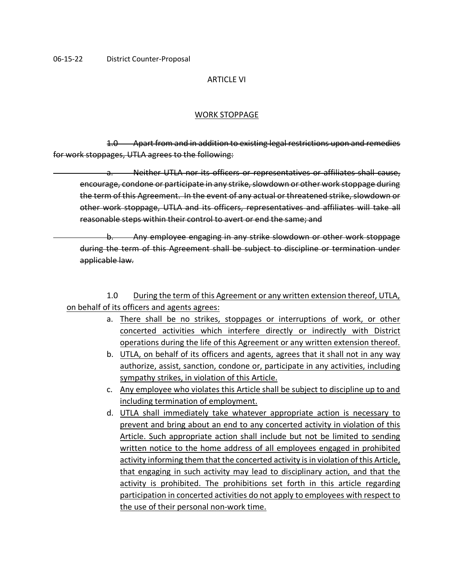#### ARTICLE VI

#### WORK STOPPAGE

1.0 Apart from and in addition to existing legal restrictions upon and remedies for work stoppages, UTLA agrees to the following:

a. Neither UTLA nor its officers or representatives or affiliates shall cause, encourage, condone or participate in any strike, slowdown or other work stoppage during the term of this Agreement. In the event of any actual or threatened strike, slowdown or other work stoppage, UTLA and its officers, representatives and affiliates will take all reasonable steps within their control to avert or end the same; and

b. Any employee engaging in any strike slowdown or other work stoppage during the term of this Agreement shall be subject to discipline or termination under applicable law.

1.0 During the term of this Agreement or any written extension thereof, UTLA, on behalf of its officers and agents agrees:

- a. There shall be no strikes, stoppages or interruptions of work, or other concerted activities which interfere directly or indirectly with District operations during the life of this Agreement or any written extension thereof.
- b. UTLA, on behalf of its officers and agents, agrees that it shall not in any way authorize, assist, sanction, condone or, participate in any activities, including sympathy strikes, in violation of this Article.
- c. Any employee who violates this Article shall be subject to discipline up to and including termination of employment.
- d. UTLA shall immediately take whatever appropriate action is necessary to prevent and bring about an end to any concerted activity in violation of this Article. Such appropriate action shall include but not be limited to sending written notice to the home address of all employees engaged in prohibited activity informing them that the concerted activity is in violation of this Article, that engaging in such activity may lead to disciplinary action, and that the activity is prohibited. The prohibitions set forth in this article regarding participation in concerted activities do not apply to employees with respect to the use of their personal non-work time.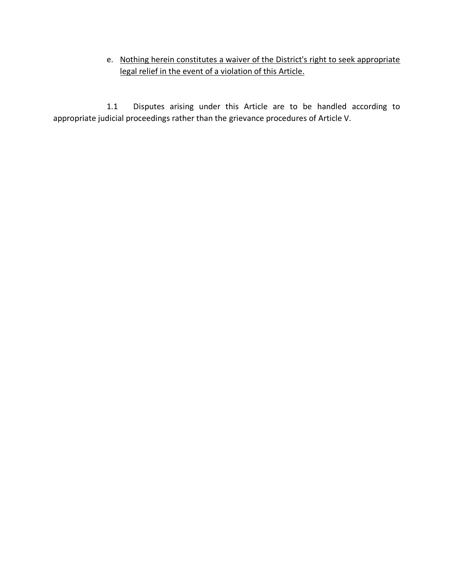# e. Nothing herein constitutes a waiver of the District's right to seek appropriate legal relief in the event of a violation of this Article.

1.1 Disputes arising under this Article are to be handled according to appropriate judicial proceedings rather than the grievance procedures of Article V.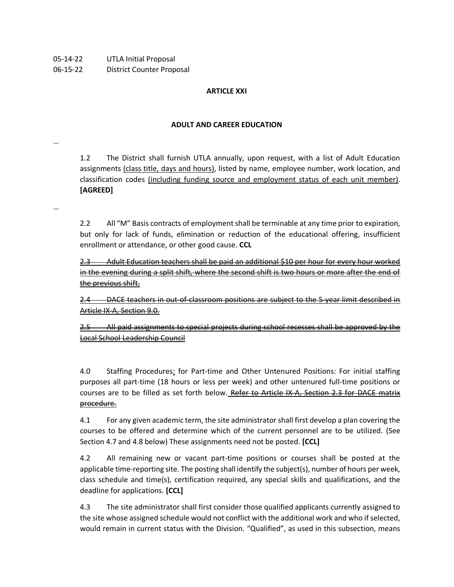06-15-22 District Counter Proposal

## **ARTICLE XXI**

#### **ADULT AND CAREER EDUCATION**

…

…

1.2 The District shall furnish UTLA annually, upon request, with a list of Adult Education assignments (class title, days and hours), listed by name, employee number, work location, and classification codes (including funding source and employment status of each unit member). **[AGREED]**

2.2 All "M" Basis contracts of employment shall be terminable at any time prior to expiration, but only for lack of funds, elimination or reduction of the educational offering, insufficient enrollment or attendance, or other good cause. **CCL**

2.3 Adult Education teachers shall be paid an additional \$10 per hour for every hour worked in the evening during a split shift, where the second shift is two hours or more after the end of the previous shift.

2.4 DACE teachers in out-of-classroom positions are subject to the 5-year limit described in Article IX-A, Section 9.0.

2.5 All paid assignments to special projects during school recesses shall be approved by the Local School Leadership Council

4.0 Staffing Procedures: for Part-time and Other Untenured Positions: For initial staffing purposes all part-time (18 hours or less per week) and other untenured full-time positions or courses are to be filled as set forth below. Refer to Article IX-A, Section 2.3 for DACE matrix procedure.

4.1 For any given academic term, the site administrator shall first develop a plan covering the courses to be offered and determine which of the current personnel are to be utilized. (See Section 4.7 and 4.8 below) These assignments need not be posted. **[CCL]**

4.2 All remaining new or vacant part-time positions or courses shall be posted at the applicable time-reporting site. The posting shall identify the subject(s), number of hours per week, class schedule and time(s), certification required, any special skills and qualifications, and the deadline for applications. **[CCL]**

4.3 The site administrator shall first consider those qualified applicants currently assigned to the site whose assigned schedule would not conflict with the additional work and who if selected, would remain in current status with the Division. "Qualified", as used in this subsection, means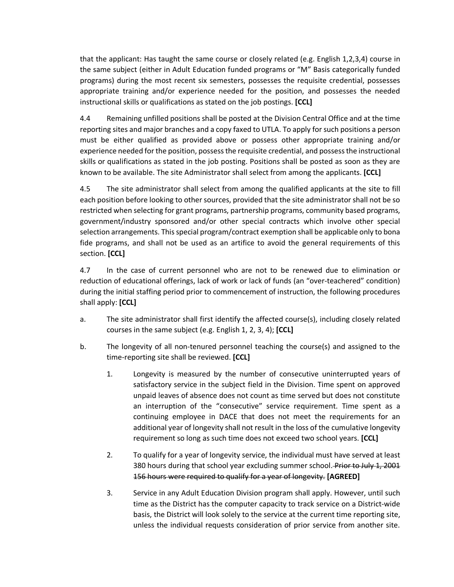that the applicant: Has taught the same course or closely related (e.g. English 1,2,3,4) course in the same subject (either in Adult Education funded programs or "M" Basis categorically funded programs) during the most recent six semesters, possesses the requisite credential, possesses appropriate training and/or experience needed for the position, and possesses the needed instructional skills or qualifications as stated on the job postings. **[CCL]**

4.4 Remaining unfilled positions shall be posted at the Division Central Office and at the time reporting sites and major branches and a copy faxed to UTLA. To apply for such positions a person must be either qualified as provided above or possess other appropriate training and/or experience needed for the position, possess the requisite credential, and possess the instructional skills or qualifications as stated in the job posting. Positions shall be posted as soon as they are known to be available. The site Administrator shall select from among the applicants. **[CCL]**

4.5 The site administrator shall select from among the qualified applicants at the site to fill each position before looking to other sources, provided that the site administrator shall not be so restricted when selecting for grant programs, partnership programs, community based programs, government/industry sponsored and/or other special contracts which involve other special selection arrangements. This special program/contract exemption shall be applicable only to bona fide programs, and shall not be used as an artifice to avoid the general requirements of this section. **[CCL]**

4.7 In the case of current personnel who are not to be renewed due to elimination or reduction of educational offerings, lack of work or lack of funds (an "over-teachered" condition) during the initial staffing period prior to commencement of instruction, the following procedures shall apply: **[CCL]**

- a. The site administrator shall first identify the affected course(s), including closely related courses in the same subject (e.g. English 1, 2, 3, 4); **[CCL]**
- b. The longevity of all non-tenured personnel teaching the course(s) and assigned to the time-reporting site shall be reviewed. **[CCL]**
	- 1. Longevity is measured by the number of consecutive uninterrupted years of satisfactory service in the subject field in the Division. Time spent on approved unpaid leaves of absence does not count as time served but does not constitute an interruption of the "consecutive" service requirement. Time spent as a continuing employee in DACE that does not meet the requirements for an additional year of longevity shall not result in the loss of the cumulative longevity requirement so long as such time does not exceed two school years. **[CCL]**
	- 2. To qualify for a year of longevity service, the individual must have served at least 380 hours during that school year excluding summer school. Prior to July 1, 2001 156 hours were required to qualify for a year of longevity. **[AGREED]**
	- 3. Service in any Adult Education Division program shall apply. However, until such time as the District has the computer capacity to track service on a District-wide basis, the District will look solely to the service at the current time reporting site, unless the individual requests consideration of prior service from another site.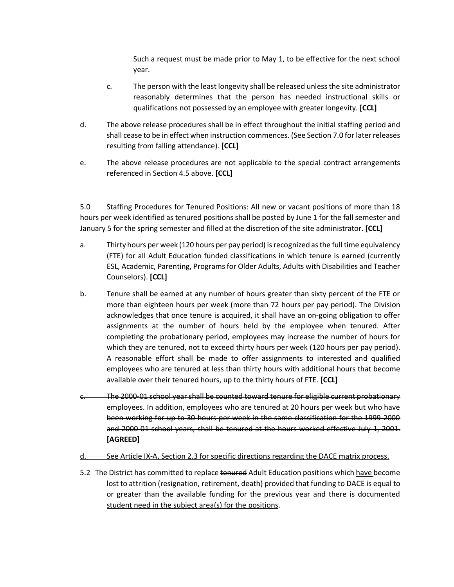Such a request must be made prior to May 1, to be effective for the next school year.

- c. The person with the least longevity shall be released unless the site administrator reasonably determines that the person has needed instructional skills or qualifications not possessed by an employee with greater longevity. **[CCL]**
- d. The above release procedures shall be in effect throughout the initial staffing period and shall cease to be in effect when instruction commences. (See Section 7.0 for later releases resulting from falling attendance). **[CCL]**
- e. The above release procedures are not applicable to the special contract arrangements referenced in Section 4.5 above. **[CCL]**

5.0 Staffing Procedures for Tenured Positions: All new or vacant positions of more than 18 hours per week identified as tenured positions shall be posted by June 1 for the fall semester and January 5 for the spring semester and filled at the discretion of the site administrator. **[CCL]**

- a. Thirty hours per week (120 hours per pay period) is recognized as the full time equivalency (FTE) for all Adult Education funded classifications in which tenure is earned (currently ESL, Academic, Parenting, Programs for Older Adults, Adults with Disabilities and Teacher Counselors). **[CCL]**
- b. Tenure shall be earned at any number of hours greater than sixty percent of the FTE or more than eighteen hours per week (more than 72 hours per pay period). The Division acknowledges that once tenure is acquired, it shall have an on-going obligation to offer assignments at the number of hours held by the employee when tenured. After completing the probationary period, employees may increase the number of hours for which they are tenured, not to exceed thirty hours per week (120 hours per pay period). A reasonable effort shall be made to offer assignments to interested and qualified employees who are tenured at less than thirty hours with additional hours that become available over their tenured hours, up to the thirty hours of FTE. **[CCL]**
- The 2000-01 school year shall be counted toward tenure for eligible current probationary employees. In addition, employees who are tenured at 20 hours per week but who have been working for up to 30 hours per week in the same classification for the 1999-2000 and 2000-01 school years, shall be tenured at the hours worked effective July 1, 2001. **[AGREED]**
- d. See Article IX-A, Section 2.3 for specific directions regarding the DACE matrix process.
- 5.2 The District has committed to replace tenured Adult Education positions which have become lost to attrition (resignation, retirement, death) provided that funding to DACE is equal to or greater than the available funding for the previous year and there is documented student need in the subject area(s) for the positions.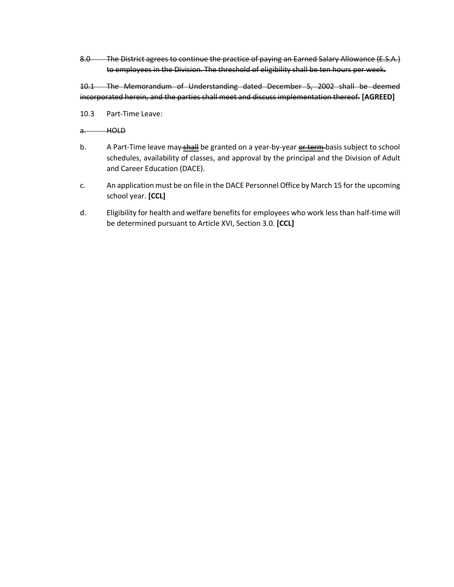8.0 The District agrees to continue the practice of paying an Earned Salary Allowance (E.S.A.) to employees in the Division. The threshold of eligibility shall be ten hours per week**.** 

10.1 The Memorandum of Understanding dated December 5, 2002 shall be deemed incorporated herein, and the parties shall meet and discuss implementation thereof. **[AGREED]**

10.3 Part-Time Leave:

a. HOLD

- b. A Part-Time leave may shall be granted on a year-by-year or term basis subject to school schedules, availability of classes, and approval by the principal and the Division of Adult and Career Education (DACE).
- c. An application must be on file in the DACE Personnel Office by March 15 for the upcoming school year. **[CCL]**
- d. Eligibility for health and welfare benefits for employees who work less than half-time will be determined pursuant to Article XVI, Section 3.0. **[CCL]**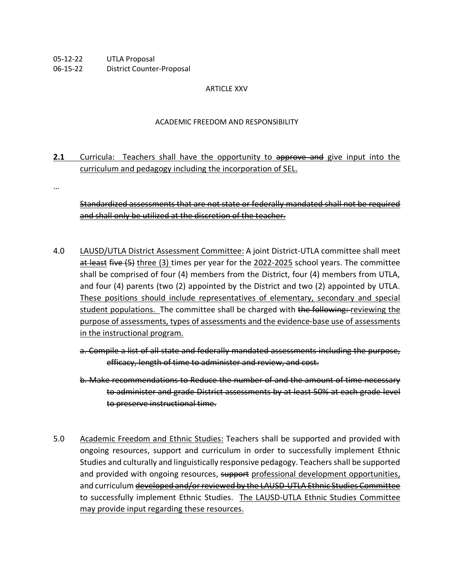- 05-12-22 UTLA Proposal
- 06-15-22 District Counter-Proposal

## ARTICLE XXV

## ACADEMIC FREEDOM AND RESPONSIBILITY

- **2.1** Curricula: Teachers shall have the opportunity to approve and give input into the curriculum and pedagogy including the incorporation of SEL.
- …

Standardized assessments that are not state or federally mandated shall not be required and shall only be utilized at the discretion of the teacher.

- 4.0 LAUSD/UTLA District Assessment Committee: A joint District-UTLA committee shall meet at least five (5) three (3) times per year for the 2022-2025 school years. The committee shall be comprised of four (4) members from the District, four (4) members from UTLA, and four (4) parents (two (2) appointed by the District and two (2) appointed by UTLA. These positions should include representatives of elementary, secondary and special student populations. The committee shall be charged with the following: reviewing the purpose of assessments, types of assessments and the evidence-base use of assessments in the instructional program.
	- a. Compile a list of all state and federally mandated assessments including the purpose, efficacy, length of time to administer and review, and cost.
	- b. Make recommendations to Reduce the number of and the amount of time necessary to administer and grade District assessments by at least 50% at each grade level to preserve instructional time.
- 5.0 Academic Freedom and Ethnic Studies: Teachers shall be supported and provided with ongoing resources, support and curriculum in order to successfully implement Ethnic Studies and culturally and linguistically responsive pedagogy. Teachers shall be supported and provided with ongoing resources, support professional development opportunities, and curriculum developed and/or reviewed by the LAUSD-UTLA Ethnic Studies Committee to successfully implement Ethnic Studies. The LAUSD-UTLA Ethnic Studies Committee may provide input regarding these resources.